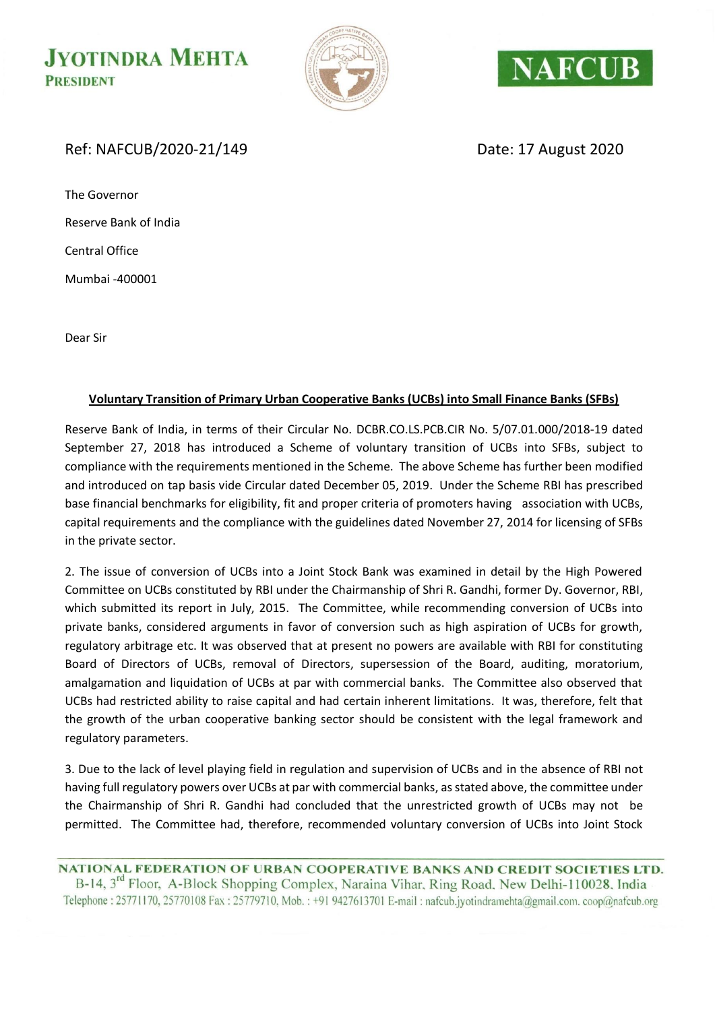**JYOTINDRA MEHTA PRESIDENT** 





### Ref: NAFCUB/2020-21/149 Date: 17 August 2020

The Governor Reserve Bank of India Central Office Mumbai -400001

Dear Sir

#### **Voluntary Transition of Primary Urban Cooperative Banks (UCBs) into Small Finance Banks (SFBs)**

Reserve Bank of India, in terms of their Circular No. DCBR.CO.LS.PCB.CIR No. 5/07.01.000/2018-19 dated September 27, 2018 has introduced a Scheme of voluntary transition of UCBs into SFBs, subject to compliance with the requirements mentioned in the Scheme. The above Scheme has further been modified and introduced on tap basis vide Circular dated December 05, 2019. Under the Scheme RBI has prescribed base financial benchmarks for eligibility, fit and proper criteria of promoters having association with UCBs, capital requirements and the compliance with the guidelines dated November 27, 2014 for licensing of SFBs in the private sector.

2. The issue of conversion of UCBs into a Joint Stock Bank was examined in detail by the High Powered Committee on UCBs constituted by RBI under the Chairmanship of Shri R. Gandhi, former Dy. Governor, RBI, which submitted its report in July, 2015. The Committee, while recommending conversion of UCBs into private banks, considered arguments in favor of conversion such as high aspiration of UCBs for growth, regulatory arbitrage etc. It was observed that at present no powers are available with RBI for constituting Board of Directors of UCBs, removal of Directors, supersession of the Board, auditing, moratorium, amalgamation and liquidation of UCBs at par with commercial banks. The Committee also observed that UCBs had restricted ability to raise capital and had certain inherent limitations. It was, therefore, felt that the growth of the urban cooperative banking sector should be consistent with the legal framework and regulatory parameters.

3. Due to the lack of level playing field in regulation and supervision of UCBs and in the absence of RBI not having full regulatory powers over UCBs at par with commercial banks, as stated above, the committee under the Chairmanship of Shri R. Gandhi had concluded that the unrestricted growth of UCBs may not be permitted. The Committee had, therefore, recommended voluntary conversion of UCBs into Joint Stock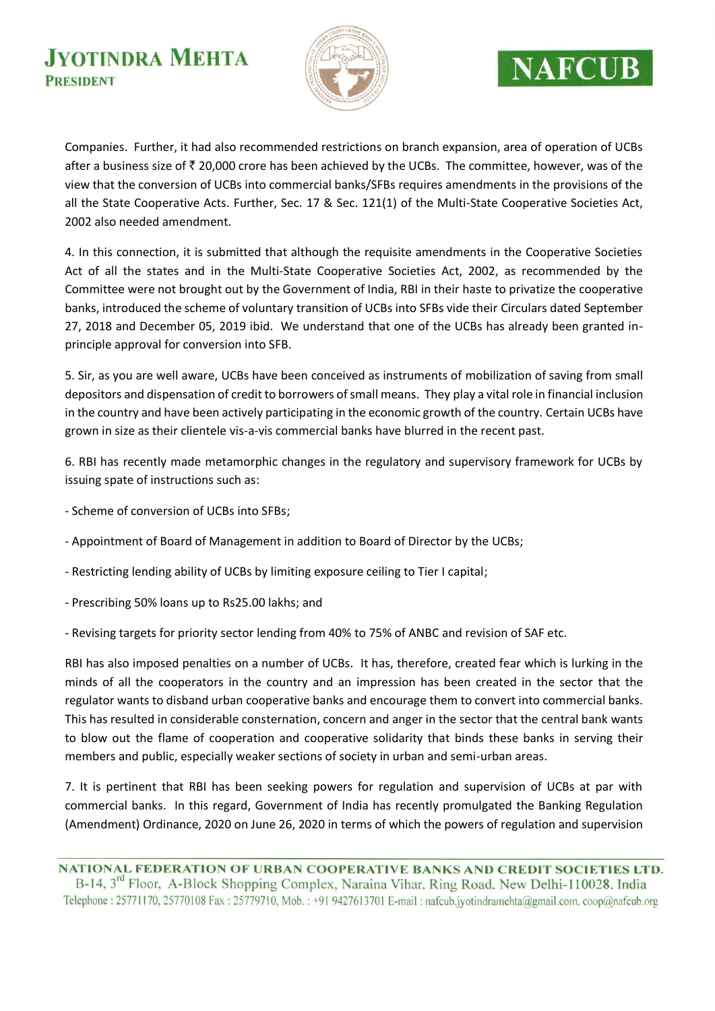### **JYOTINDRA MEHTA PRESIDENT**



# **NAFCUB**

Companies. Further, it had also recommended restrictions on branch expansion, area of operation of UCBs after a business size of  $\bar{z}$  20,000 crore has been achieved by the UCBs. The committee, however, was of the view that the conversion of UCBs into commercial banks/SFBs requires amendments in the provisions of the all the State Cooperative Acts. Further, Sec. 17 & Sec. 121(1) of the Multi-State Cooperative Societies Act, 2002 also needed amendment.

4. In this connection, it is submitted that although the requisite amendments in the Cooperative Societies Act of all the states and in the Multi-State Cooperative Societies Act, 2002, as recommended by the Committee were not brought out by the Government of India, RBI in their haste to privatize the cooperative banks, introduced the scheme of voluntary transition of UCBs into SFBs vide their Circulars dated September 27, 2018 and December 05, 2019 ibid. We understand that one of the UCBs has already been granted inprinciple approval for conversion into SFB.

5. Sir, as you are well aware, UCBs have been conceived as instruments of mobilization of saving from small depositors and dispensation of credit to borrowers of small means. They play a vital role in financial inclusion in the country and have been actively participating in the economic growth of the country. Certain UCBs have grown in size as their clientele vis-a-vis commercial banks have blurred in the recent past.

6. RBI has recently made metamorphic changes in the regulatory and supervisory framework for UCBs by issuing spate of instructions such as:

- Scheme of conversion of UCBs into SFBs;
- Appointment of Board of Management in addition to Board of Director by the UCBs;
- Restricting lending ability of UCBs by limiting exposure ceiling to Tier I capital;
- Prescribing 50% loans up to Rs25.00 lakhs; and

- Revising targets for priority sector lending from 40% to 75% of ANBC and revision of SAF etc.

RBI has also imposed penalties on a number of UCBs. It has, therefore, created fear which is lurking in the minds of all the cooperators in the country and an impression has been created in the sector that the regulator wants to disband urban cooperative banks and encourage them to convert into commercial banks. This has resulted in considerable consternation, concern and anger in the sector that the central bank wants to blow out the flame of cooperation and cooperative solidarity that binds these banks in serving their members and public, especially weaker sections of society in urban and semi-urban areas.

7. It is pertinent that RBI has been seeking powers for regulation and supervision of UCBs at par with commercial banks. In this regard, Government of India has recently promulgated the Banking Regulation (Amendment) Ordinance, 2020 on June 26, 2020 in terms of which the powers of regulation and supervision